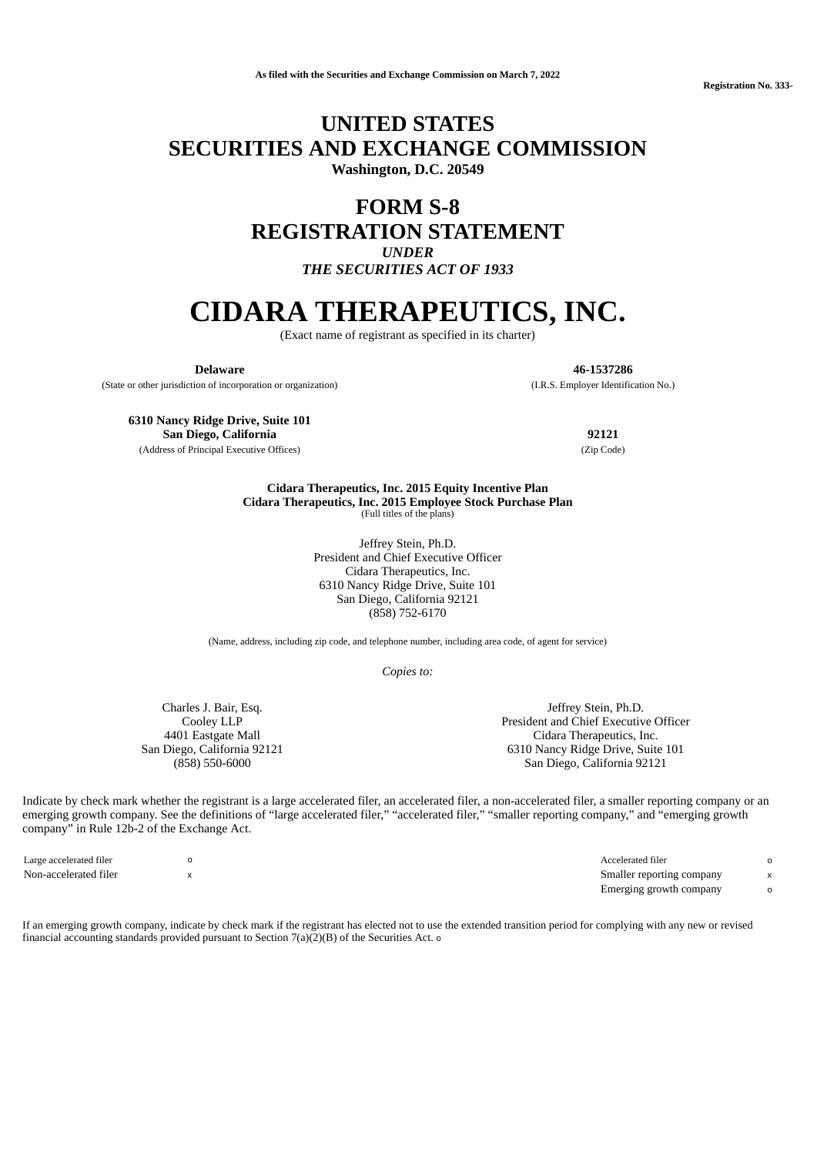**Registration No. 333-**

## **UNITED STATES SECURITIES AND EXCHANGE COMMISSION Washington, D.C. 20549**

# **FORM S-8**

**REGISTRATION STATEMENT**

*UNDER*

*THE SECURITIES ACT OF 1933*

# **CIDARA THERAPEUTICS, INC.**

(Exact name of registrant as specified in its charter)

**Delaware 46-1537286**

(State or other jurisdiction of incorporation or organization) (I.R.S. Employer Identification No.)

**6310 Nancy Ridge Drive, Suite 101 San Diego, California 92121**

(Address of Principal Executive Offices) (Zip Code)

**Cidara Therapeutics, Inc. 2015 Equity Incentive Plan Cidara Therapeutics, Inc. 2015 Employee Stock Purchase Plan** (Full titles of the plans)

> Jeffrey Stein, Ph.D. President and Chief Executive Officer Cidara Therapeutics, Inc. 6310 Nancy Ridge Drive, Suite 101 San Diego, California 92121 (858) 752-6170

(Name, address, including zip code, and telephone number, including area code, of agent for service)

*Copies to:*

Charles J. Bair, Esq. Cooley LLP 4401 Eastgate Mall San Diego, California 92121 (858) 550-6000

Jeffrey Stein, Ph.D. President and Chief Executive Officer Cidara Therapeutics, Inc. 6310 Nancy Ridge Drive, Suite 101 San Diego, California 92121

Indicate by check mark whether the registrant is a large accelerated filer, an accelerated filer, a non-accelerated filer, a smaller reporting company or an emerging growth company. See the definitions of "large accelerated filer," "accelerated filer," "smaller reporting company," and "emerging growth company" in Rule 12b-2 of the Exchange Act.

| Large accelerated filer | Accelerated filer         |  |
|-------------------------|---------------------------|--|
| Non-accelerated filer   | Smaller reporting company |  |
|                         | Emerging growth company   |  |

If an emerging growth company, indicate by check mark if the registrant has elected not to use the extended transition period for complying with any new or revised financial accounting standards provided pursuant to Section 7(a)(2)(B) of the Securities Act. o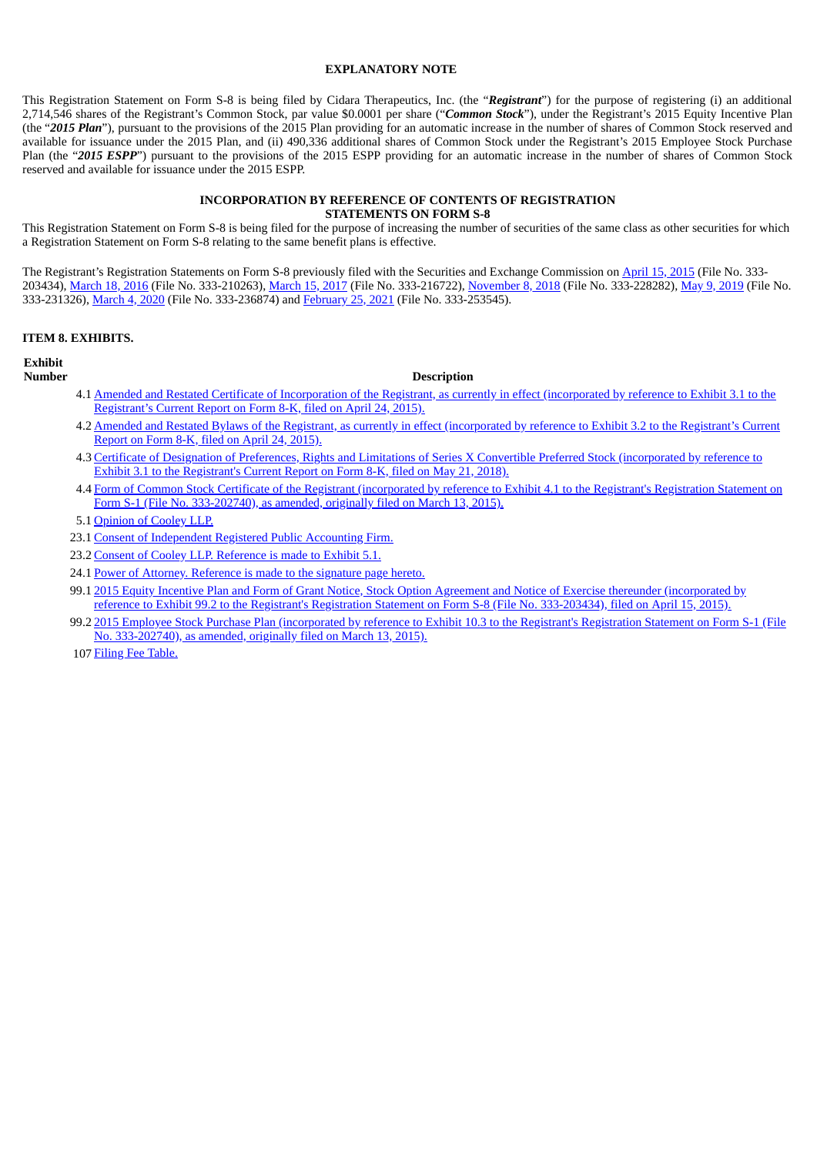#### **EXPLANATORY NOTE**

This Registration Statement on Form S-8 is being filed by Cidara Therapeutics, Inc. (the "*Registrant*") for the purpose of registering (i) an additional 2,714,546 shares of the Registrant's Common Stock, par value \$0.0001 per share ("*Common Stock*"), under the Registrant's 2015 Equity Incentive Plan (the "*2015 Plan*"), pursuant to the provisions of the 2015 Plan providing for an automatic increase in the number of shares of Common Stock reserved and available for issuance under the 2015 Plan, and (ii) 490,336 additional shares of Common Stock under the Registrant's 2015 Employee Stock Purchase Plan (the "*2015 ESPP*") pursuant to the provisions of the 2015 ESPP providing for an automatic increase in the number of shares of Common Stock reserved and available for issuance under the 2015 ESPP.

#### **INCORPORATION BY REFERENCE OF CONTENTS OF REGISTRATION STATEMENTS ON FORM S-8**

This Registration Statement on Form S-8 is being filed for the purpose of increasing the number of securities of the same class as other securities for which a Registration Statement on Form S-8 relating to the same benefit plans is effective.

The Registrant's Registration Statements on Form S-8 previously filed with the Securities and Exchange Commission on [April](http://www.sec.gov/Archives/edgar/data/1610618/000119312515131339/d909250ds8.htm) 15, 2015 (File No. 333-203434), [March](http://www.sec.gov/Archives/edgar/data/1610618/000161061817000015/cdtxs-82017x03x15.htm) 18, 2016 (File No. 333-210263), March 15, 2017 (File No. 333-216722), [November](http://www.sec.gov/Archives/edgar/data/1610618/000161061818000111/cdtxs-82018x11x08.htm) 8, 2018 (File No. 333-228282), May 9, [2019](http://www.sec.gov/Archives/edgar/data/1610618/000161061819000036/cdtxs-82019x05x09.htm) (File No. 333-231326), [March](http://www.sec.gov/Archives/edgar/data/1610618/000161061820000012/cdtxs-82020x03x03.htm) 4, 2020 (File No. 333-236874) and [February](https://www.sec.gov/Archives/edgar/data/1610618/000161061821000012/cdtxs-82021x02x25.htm) 25, 2021 (File No. 333-253545).

#### **ITEM 8. EXHIBITS.**

#### **Exhibit**

#### **Number Description**

- 4.1 Amended and Restated Certificate of [Incorporation](http://www.sec.gov/Archives/edgar/data/1610618/000119312515146688/d914065dex31.htm) of the Registrant, as currently in effect (incorporated by reference to Exhibit 3.1 to the Registrant's Current Report on Form 8-K, filed on April 24, 2015).
- 4.2 Amended and Restated Bylaws of the Registrant, as currently in effect [\(incorporated](http://www.sec.gov/Archives/edgar/data/1610618/000119312515146688/d914065dex32.htm) by reference to Exhibit 3.2 to the Registrant's Current Report on Form 8-K, filed on April 24, 2015).
- 4.3 Certificate of Designation of Preferences, Rights and Limitations of Series X Convertible Preferred Stock [\(incorporated](http://www.sec.gov/Archives/edgar/data/1610618/000161061818000052/ex312018-05x21.htm) by reference to Exhibit 3.1 to the Registrant's Current Report on Form 8-K, filed on May 21, 2018).
- 4.4 Form of Common Stock Certificate of the Registrant (incorporated by reference to Exhibit 4.1 to the Registrant's Registration Statement on Form S-1 (File No. [333-202740\),](http://www.sec.gov/Archives/edgar/data/1610618/000119312515119340/d843130dex41.htm) as amended, originally filed on March 13, 2015).
- 5.1 [Opinion](#page-4-0) of Cooley LLP.
- 23.1 Consent of [Independent](#page-6-0) Registered Public Accounting Firm.
- 23.2 Consent of Cooley LLP. [Reference](#page-4-0) is made to Exhibit 5.1.
- 24.1 Power of Attorney. [Reference](#page-2-0) is made to the signature page hereto.
- 99.1 2015 Equity Incentive Plan and Form of Grant Notice, Stock Option Agreement and Notice of Exercise thereunder (incorporated by reference to Exhibit 99.2 to the Registrant's Registration Statement on Form S-8 (File No. [333-203434\),](http://www.sec.gov/Archives/edgar/data/1610618/000119312515131339/d909250dex992.htm) filed on April 15, 2015).
- 99.2 2015 Employee Stock Purchase Plan (incorporated by reference to Exhibit 10.3 to the Registrant's Registration Statement on Form S-1 (File No. [333-202740\),](http://www.sec.gov/Archives/edgar/data/1610618/000119312515091277/d843130dex103.htm) as amended, originally filed on March 13, 2015).
- 107 Filing Fee [Table.](#page-3-0)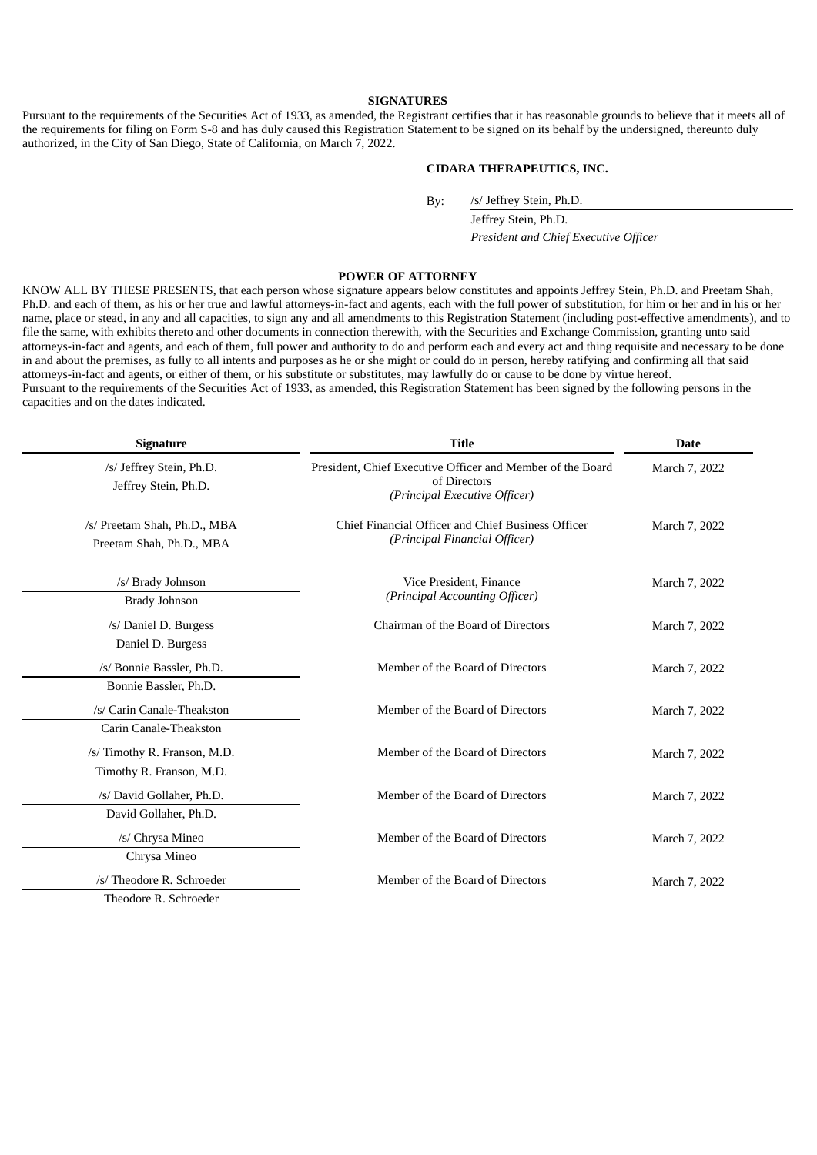#### **SIGNATURES**

<span id="page-2-0"></span>Pursuant to the requirements of the Securities Act of 1933, as amended, the Registrant certifies that it has reasonable grounds to believe that it meets all of the requirements for filing on Form S-8 and has duly caused this Registration Statement to be signed on its behalf by the undersigned, thereunto duly authorized, in the City of San Diego, State of California, on March 7, 2022.

#### **CIDARA THERAPEUTICS, INC.**

By: /s/ Jeffrey Stein, Ph.D.

Jeffrey Stein, Ph.D. *President and Chief Executive Officer*

#### **POWER OF ATTORNEY**

KNOW ALL BY THESE PRESENTS, that each person whose signature appears below constitutes and appoints Jeffrey Stein, Ph.D. and Preetam Shah, Ph.D. and each of them, as his or her true and lawful attorneys-in-fact and agents, each with the full power of substitution, for him or her and in his or her name, place or stead, in any and all capacities, to sign any and all amendments to this Registration Statement (including post-effective amendments), and to file the same, with exhibits thereto and other documents in connection therewith, with the Securities and Exchange Commission, granting unto said attorneys-in-fact and agents, and each of them, full power and authority to do and perform each and every act and thing requisite and necessary to be done in and about the premises, as fully to all intents and purposes as he or she might or could do in person, hereby ratifying and confirming all that said attorneys-in-fact and agents, or either of them, or his substitute or substitutes, may lawfully do or cause to be done by virtue hereof. Pursuant to the requirements of the Securities Act of 1933, as amended, this Registration Statement has been signed by the following persons in the capacities and on the dates indicated.

| <b>Signature</b>             | <b>Title</b>                                               | <b>Date</b>   |  |  |
|------------------------------|------------------------------------------------------------|---------------|--|--|
| /s/ Jeffrey Stein, Ph.D.     | President, Chief Executive Officer and Member of the Board | March 7, 2022 |  |  |
| Jeffrey Stein, Ph.D.         | of Directors<br>(Principal Executive Officer)              |               |  |  |
| /s/ Preetam Shah, Ph.D., MBA | Chief Financial Officer and Chief Business Officer         | March 7, 2022 |  |  |
| Preetam Shah, Ph.D., MBA     | (Principal Financial Officer)                              |               |  |  |
| /s/ Brady Johnson            | Vice President, Finance                                    | March 7, 2022 |  |  |
| <b>Brady Johnson</b>         | (Principal Accounting Officer)                             |               |  |  |
| /s/ Daniel D. Burgess        | Chairman of the Board of Directors                         | March 7, 2022 |  |  |
| Daniel D. Burgess            |                                                            |               |  |  |
| /s/ Bonnie Bassler, Ph.D.    | Member of the Board of Directors                           | March 7, 2022 |  |  |
| Bonnie Bassler, Ph.D.        |                                                            |               |  |  |
| /s/ Carin Canale-Theakston   | Member of the Board of Directors                           | March 7, 2022 |  |  |
| Carin Canale-Theakston       |                                                            |               |  |  |
| /s/ Timothy R. Franson, M.D. | Member of the Board of Directors                           | March 7, 2022 |  |  |
| Timothy R. Franson, M.D.     |                                                            |               |  |  |
| /s/ David Gollaher, Ph.D.    | Member of the Board of Directors                           | March 7, 2022 |  |  |
| David Gollaher, Ph.D.        |                                                            |               |  |  |
| /s/ Chrysa Mineo             | Member of the Board of Directors                           | March 7, 2022 |  |  |
| Chrysa Mineo                 |                                                            |               |  |  |
| /s/ Theodore R. Schroeder    | Member of the Board of Directors                           | March 7, 2022 |  |  |
| Theodore R. Schroeder        |                                                            |               |  |  |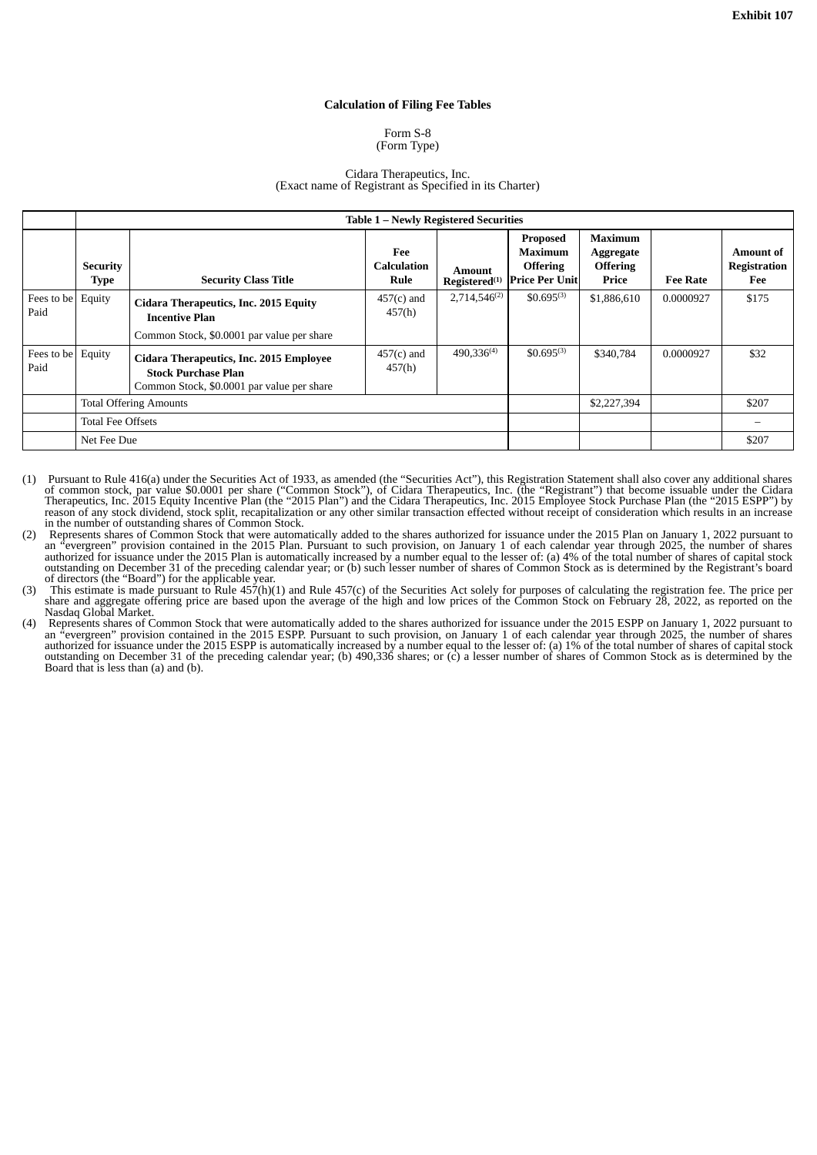#### **Calculation of Filing Fee Tables**

#### Form S-8 (Form Type)

#### Cidara Therapeutics, Inc. (Exact name of Registrant as Specified in its Charter)

<span id="page-3-0"></span>

|                    | <b>Table 1 - Newly Registered Securities</b> |                                                                                                                     |                                   |                                     |                                                                 |                                                         |                 |                                                |  |
|--------------------|----------------------------------------------|---------------------------------------------------------------------------------------------------------------------|-----------------------------------|-------------------------------------|-----------------------------------------------------------------|---------------------------------------------------------|-----------------|------------------------------------------------|--|
|                    | <b>Security</b><br><b>Type</b>               | <b>Security Class Title</b>                                                                                         | Fee<br><b>Calculation</b><br>Rule | Amount<br>Registered <sup>(1)</sup> | Proposed<br>Maximum<br><b>Offering</b><br><b>Price Per Unit</b> | Maximum<br><b>Aggregate</b><br><b>Offering</b><br>Price | <b>Fee Rate</b> | <b>Amount of</b><br><b>Registration</b><br>Fee |  |
| Fees to be<br>Paid | Equity                                       | Cidara Therapeutics, Inc. 2015 Equity<br><b>Incentive Plan</b><br>Common Stock, \$0.0001 par value per share        | $457(c)$ and<br>457(h)            | $2,714,546^{(2)}$                   | $$0.695^{(3)}$$                                                 | \$1,886,610                                             | 0.0000927       | \$175                                          |  |
| Fees to be<br>Paid | Equity                                       | Cidara Therapeutics, Inc. 2015 Employee<br><b>Stock Purchase Plan</b><br>Common Stock, \$0,0001 par value per share | $457(c)$ and<br>457(h)            | 490,336 <sup>(4)</sup>              | $$0.695^{(3)}$$                                                 | \$340,784                                               | 0.0000927       | \$32                                           |  |
|                    | <b>Total Offering Amounts</b>                |                                                                                                                     |                                   |                                     | \$2,227,394                                                     |                                                         | \$207           |                                                |  |
|                    | <b>Total Fee Offsets</b>                     |                                                                                                                     |                                   |                                     |                                                                 |                                                         |                 |                                                |  |
|                    | Net Fee Due                                  |                                                                                                                     |                                   |                                     |                                                                 |                                                         | \$207           |                                                |  |

- (1) Pursuant to Rule 416(a) under the Securities Act of 1933, as amended (the "Securities Act"), this Registration Statement shall also cover any additional shares of common stock, par value \$0.0001 per share ("Common Stock"), of Cidara Therapeutics, Inc. (the "Registrant") that become issuable under the Cidara Therapeutics, Inc. 2015 Equity Incentive Plan (the "2015 Plan") and the Cidara Therapeutics, Inc. 2015 Employee Stock Purchase Plan (the "2015 ESPP") by reason of any stock dividend, stock split, recapitalization or any other similar transaction effected without receipt of consideration which results in an increase in the number of outstanding shares of Common Stock.
- (2) Represents shares of Common Stock that were automatically added to the shares authorized for issuance under the 2015 Plan on January 1, 2022 pursuant to an "evergreen" provision contained in the 2015 Plan. Pursuant to such provision, on January 1 of each calendar year through 2025, the number of shares authorized for issuance under the 2015 Plan is automatically increased by a number equal to the lesser of: (a) 4% of the total number of shares of capital stock outstanding on December 31 of the preceding calendar year; or (b) such lesser number of shares of Common Stock as is determined by the Registrant's board of directors (the "Board") for the applicable year.
- (3) This estimate is made pursuant to Rule 457(h)(1) and Rule 457(c) of the Securities Act solely for purposes of calculating the registration fee. The price per share and aggregate offering price are based upon the average of the high and low prices of the Common Stock on February 28, 2022, as reported on the Nasdaq Global Market.
- (4) Represents shares of Common Stock that were automatically added to the shares authorized for issuance under the 2015 ESPP on January 1, 2022 pursuant to an "evergreen" provision contained in the 2015 ESPP. Pursuant to such provision, on January 1 of each calendar year through 2025, the number of shares authorized for issuance under the 2015 ESPP is automatically increased by a number equal to the lesser of: (a) 1% of the total number of shares of capital stock outstanding on December 31 of the preceding calendar year; (b) 490,336 shares; or (c) a lesser number of shares of Common Stock as is determined by the Board that is less than (a) and (b).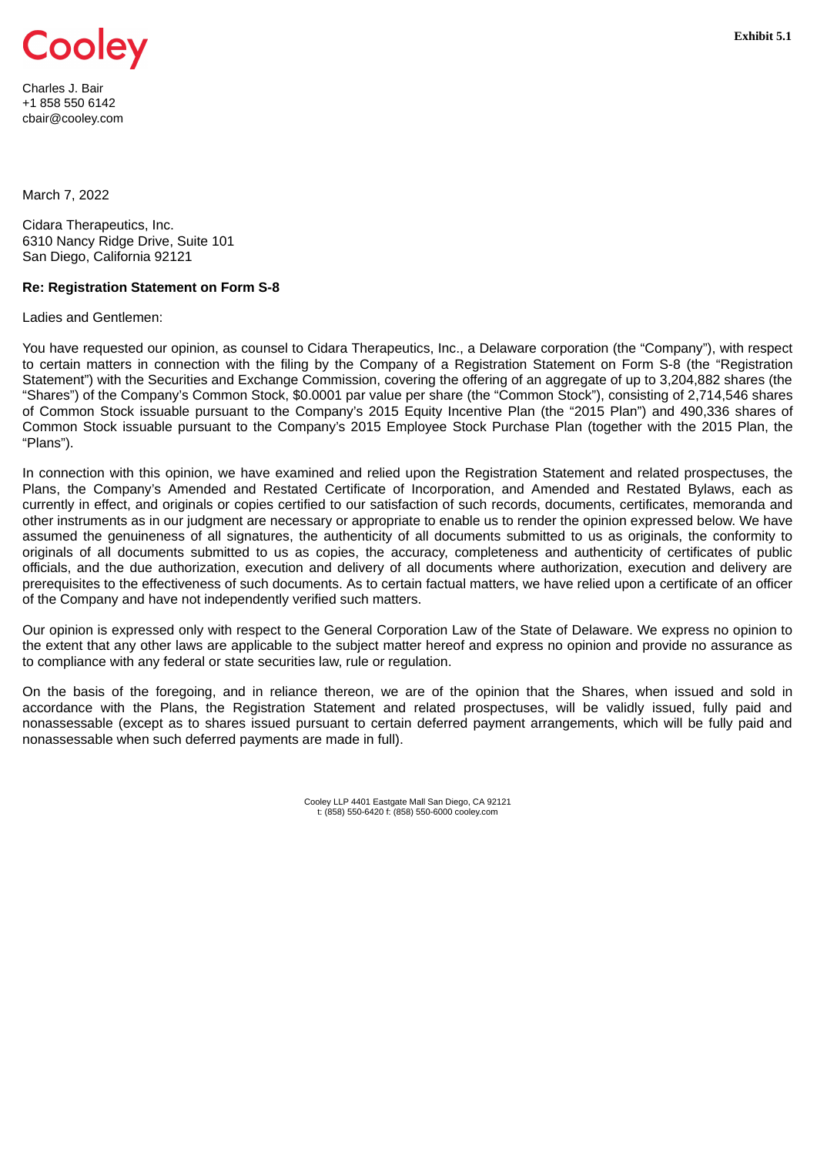<span id="page-4-0"></span>

Charles J. Bair +1 858 550 6142 cbair@cooley.com

March 7, 2022

Cidara Therapeutics, Inc. 6310 Nancy Ridge Drive, Suite 101 San Diego, California 92121

### **Re: Registration Statement on Form S-8**

Ladies and Gentlemen:

You have requested our opinion, as counsel to Cidara Therapeutics, Inc., a Delaware corporation (the "Company"), with respect to certain matters in connection with the filing by the Company of a Registration Statement on Form S-8 (the "Registration Statement") with the Securities and Exchange Commission, covering the offering of an aggregate of up to 3,204,882 shares (the "Shares") of the Company's Common Stock, \$0.0001 par value per share (the "Common Stock"), consisting of 2,714,546 shares of Common Stock issuable pursuant to the Company's 2015 Equity Incentive Plan (the "2015 Plan") and 490,336 shares of Common Stock issuable pursuant to the Company's 2015 Employee Stock Purchase Plan (together with the 2015 Plan, the "Plans").

In connection with this opinion, we have examined and relied upon the Registration Statement and related prospectuses, the Plans, the Company's Amended and Restated Certificate of Incorporation, and Amended and Restated Bylaws, each as currently in effect, and originals or copies certified to our satisfaction of such records, documents, certificates, memoranda and other instruments as in our judgment are necessary or appropriate to enable us to render the opinion expressed below. We have assumed the genuineness of all signatures, the authenticity of all documents submitted to us as originals, the conformity to originals of all documents submitted to us as copies, the accuracy, completeness and authenticity of certificates of public officials, and the due authorization, execution and delivery of all documents where authorization, execution and delivery are prerequisites to the effectiveness of such documents. As to certain factual matters, we have relied upon a certificate of an officer of the Company and have not independently verified such matters.

Our opinion is expressed only with respect to the General Corporation Law of the State of Delaware. We express no opinion to the extent that any other laws are applicable to the subject matter hereof and express no opinion and provide no assurance as to compliance with any federal or state securities law, rule or regulation.

On the basis of the foregoing, and in reliance thereon, we are of the opinion that the Shares, when issued and sold in accordance with the Plans, the Registration Statement and related prospectuses, will be validly issued, fully paid and nonassessable (except as to shares issued pursuant to certain deferred payment arrangements, which will be fully paid and nonassessable when such deferred payments are made in full).

> Cooley LLP 4401 Eastgate Mall San Diego, CA 92121 t: (858) 550-6420 f: (858) 550-6000 cooley.com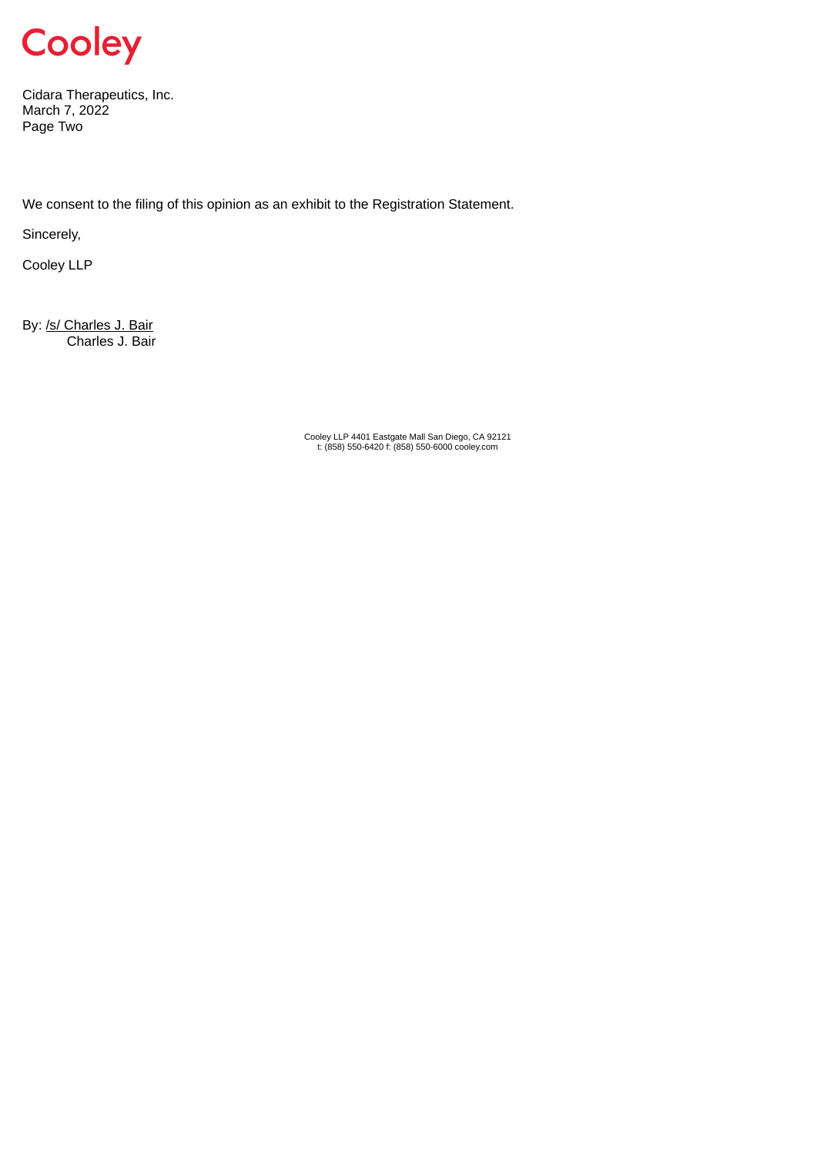

Cidara Therapeutics, Inc. March 7, 2022 Page Two

We consent to the filing of this opinion as an exhibit to the Registration Statement.

Sincerely,

Cooley LLP

By: /s/ Charles J. Bair Charles J. Bair

Cooley LLP 4401 Eastgate Mall San Diego, CA 92121 t: (858) 550-6420 f: (858) 550-6000 cooley.com